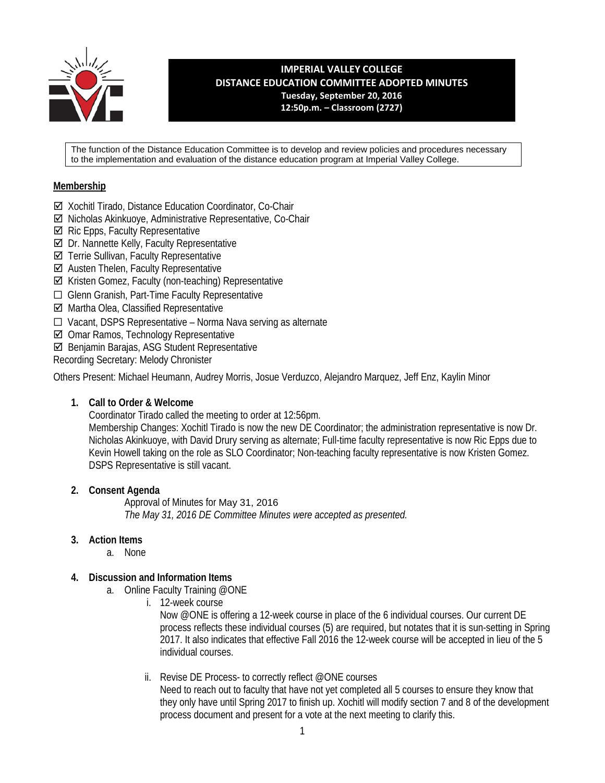

**IMPERIAL VALLEY COLLEGE DISTANCE EDUCATION COMMITTEE ADOPTED MINUTES Tuesday, September 20, 2016 12:50p.m. – Classroom (2727)**

The function of the Distance Education Committee is to develop and review policies and procedures necessary to the implementation and evaluation of the distance education program at Imperial Valley College.

### **Membership**

- Xochitl Tirado, Distance Education Coordinator, Co-Chair
- Nicholas Akinkuoye, Administrative Representative, Co-Chair
- $\boxtimes$  Ric Epps, Faculty Representative
- $⊒$  Dr. Nannette Kelly, Faculty Representative
- Terrie Sullivan, Faculty Representative
- $\boxtimes$  Austen Thelen, Faculty Representative
- $\boxtimes$  Kristen Gomez, Faculty (non-teaching) Representative
- ☐ Glenn Granish, Part-Time Faculty Representative
- Martha Olea, Classified Representative
- ☐ Vacant, DSPS Representative Norma Nava serving as alternate
- Omar Ramos, Technology Representative
- Benjamin Barajas, ASG Student Representative

Recording Secretary: Melody Chronister

Others Present: Michael Heumann, Audrey Morris, Josue Verduzco, Alejandro Marquez, Jeff Enz, Kaylin Minor

### **1. Call to Order & Welcome**

Coordinator Tirado called the meeting to order at 12:56pm.

Membership Changes: Xochitl Tirado is now the new DE Coordinator; the administration representative is now Dr. Nicholas Akinkuoye, with David Drury serving as alternate; Full-time faculty representative is now Ric Epps due to Kevin Howell taking on the role as SLO Coordinator; Non-teaching faculty representative is now Kristen Gomez. DSPS Representative is still vacant.

### **2. Consent Agenda**

Approval of Minutes for May 31, 2016 *The May 31, 2016 DE Committee Minutes were accepted as presented.* 

### **3. Action Items**

a. None

## **4. Discussion and Information Items**

- a. Online Faculty Training @ONE
	- i. 12-week course

Now @ONE is offering a 12-week course in place of the 6 individual courses. Our current DE process reflects these individual courses (5) are required, but notates that it is sun-setting in Spring 2017. It also indicates that effective Fall 2016 the 12-week course will be accepted in lieu of the 5 individual courses.

ii. Revise DE Process- to correctly reflect @ONE courses

Need to reach out to faculty that have not yet completed all 5 courses to ensure they know that they only have until Spring 2017 to finish up. Xochitl will modify section 7 and 8 of the development process document and present for a vote at the next meeting to clarify this.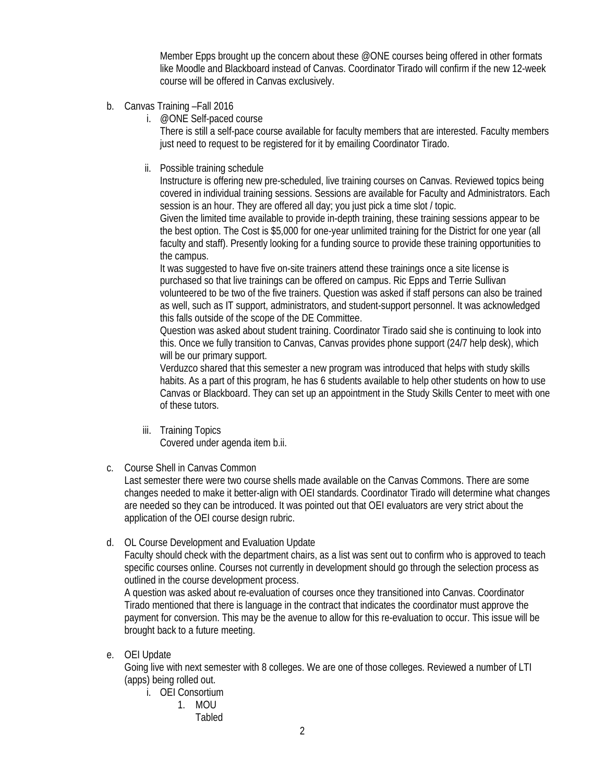Member Epps brought up the concern about these @ONE courses being offered in other formats like Moodle and Blackboard instead of Canvas. Coordinator Tirado will confirm if the new 12-week course will be offered in Canvas exclusively.

- b. Canvas Training –Fall 2016
	- i. @ONE Self-paced course

There is still a self-pace course available for faculty members that are interested. Faculty members just need to request to be registered for it by emailing Coordinator Tirado.

ii. Possible training schedule

Instructure is offering new pre-scheduled, live training courses on Canvas. Reviewed topics being covered in individual training sessions. Sessions are available for Faculty and Administrators. Each session is an hour. They are offered all day; you just pick a time slot / topic.

Given the limited time available to provide in-depth training, these training sessions appear to be the best option. The Cost is \$5,000 for one-year unlimited training for the District for one year (all faculty and staff). Presently looking for a funding source to provide these training opportunities to the campus.

It was suggested to have five on-site trainers attend these trainings once a site license is purchased so that live trainings can be offered on campus. Ric Epps and Terrie Sullivan volunteered to be two of the five trainers. Question was asked if staff persons can also be trained as well, such as IT support, administrators, and student-support personnel. It was acknowledged this falls outside of the scope of the DE Committee.

Question was asked about student training. Coordinator Tirado said she is continuing to look into this. Once we fully transition to Canvas, Canvas provides phone support (24/7 help desk), which will be our primary support.

Verduzco shared that this semester a new program was introduced that helps with study skills habits. As a part of this program, he has 6 students available to help other students on how to use Canvas or Blackboard. They can set up an appointment in the Study Skills Center to meet with one of these tutors.

iii. Training Topics

Covered under agenda item b.ii.

c. Course Shell in Canvas Common

Last semester there were two course shells made available on the Canvas Commons. There are some changes needed to make it better-align with OEI standards. Coordinator Tirado will determine what changes are needed so they can be introduced. It was pointed out that OEI evaluators are very strict about the application of the OEI course design rubric.

d. OL Course Development and Evaluation Update

Faculty should check with the department chairs, as a list was sent out to confirm who is approved to teach specific courses online. Courses not currently in development should go through the selection process as outlined in the course development process.

A question was asked about re-evaluation of courses once they transitioned into Canvas. Coordinator Tirado mentioned that there is language in the contract that indicates the coordinator must approve the payment for conversion. This may be the avenue to allow for this re-evaluation to occur. This issue will be brought back to a future meeting.

e. OEI Update

Going live with next semester with 8 colleges. We are one of those colleges. Reviewed a number of LTI (apps) being rolled out.

- i. OEI Consortium
	- 1. MOU Tabled
-